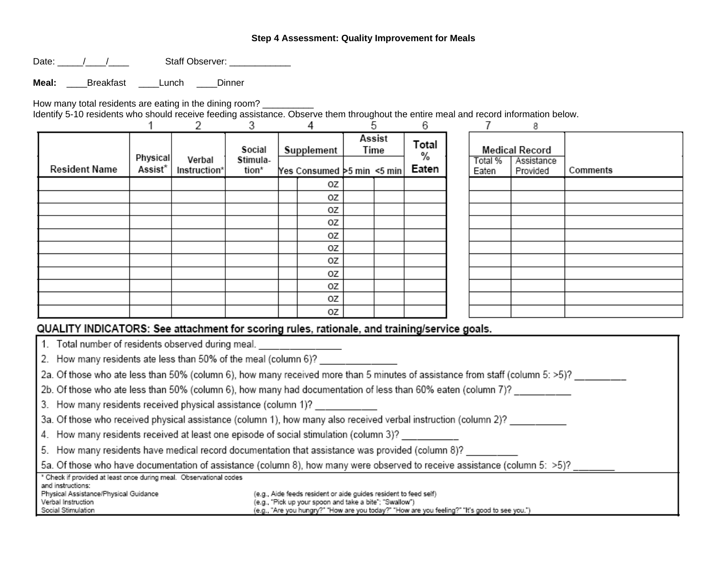# **Step 4 Assessment: Quality Improvement for Meals**

Date: \_\_\_\_\_\_/\_\_\_\_/\_\_\_\_\_\_ Staff Observer: \_\_\_\_\_\_\_\_\_\_\_\_\_\_

**Meal:** \_\_\_\_Breakfast \_\_\_\_Lunch \_\_\_\_Dinner

How many total residents are eating in the dining room? \_\_\_\_\_\_\_\_\_\_

Identify 5-10 residents who should receive feeding assistance. Observe them throughout the entire meal and record information below.

|                                                                                              |                     |                        | З                           |                                          | 4  |                | ٠h | 6                   |                  | 8                                               |          |
|----------------------------------------------------------------------------------------------|---------------------|------------------------|-----------------------------|------------------------------------------|----|----------------|----|---------------------|------------------|-------------------------------------------------|----------|
| <b>Resident Name</b>                                                                         | Physical<br>Assist* | Verbal<br>Instruction* | Social<br>Stimula-<br>tion* | Supplement<br>Yes Consumed >5 min <5 min |    | Assist<br>Time |    | Total<br>%<br>Eaten | Total %<br>Eaten | <b>Medical Record</b><br>Assistance<br>Provided | Comments |
|                                                                                              |                     |                        |                             |                                          | 0Z |                |    |                     |                  |                                                 |          |
|                                                                                              |                     |                        |                             |                                          | oz |                |    |                     |                  |                                                 |          |
|                                                                                              |                     |                        |                             |                                          | OΖ |                |    |                     |                  |                                                 |          |
|                                                                                              |                     |                        |                             |                                          | oz |                |    |                     |                  |                                                 |          |
|                                                                                              |                     |                        |                             |                                          | 0Z |                |    |                     |                  |                                                 |          |
|                                                                                              |                     |                        |                             |                                          | ΟZ |                |    |                     |                  |                                                 |          |
|                                                                                              |                     |                        |                             |                                          | oz |                |    |                     |                  |                                                 |          |
|                                                                                              |                     |                        |                             |                                          | 0Z |                |    |                     |                  |                                                 |          |
|                                                                                              |                     |                        |                             |                                          | 0Z |                |    |                     |                  |                                                 |          |
|                                                                                              |                     |                        |                             |                                          | ΟZ |                |    |                     |                  |                                                 |          |
|                                                                                              |                     |                        |                             |                                          | OΖ |                |    |                     |                  |                                                 |          |
| QUALITY INDICATORS: See attachment for scoring rules, rationale, and training/service goals. |                     |                        |                             |                                          |    |                |    |                     |                  |                                                 |          |

| 1. Total number of residents observed during meal.                                                                            |                                                                                                                             |  |  |  |  |  |
|-------------------------------------------------------------------------------------------------------------------------------|-----------------------------------------------------------------------------------------------------------------------------|--|--|--|--|--|
| 2. How many residents ate less than 50% of the meal (column 6)?                                                               |                                                                                                                             |  |  |  |  |  |
| 2a. Of those who ate less than 50% (column 6), how many received more than 5 minutes of assistance from staff (column 5: >5)? |                                                                                                                             |  |  |  |  |  |
| 2b. Of those who ate less than 50% (column 6), how many had documentation of less than 60% eaten (column 7)?                  |                                                                                                                             |  |  |  |  |  |
| 3. How many residents received physical assistance (column 1)? _________                                                      |                                                                                                                             |  |  |  |  |  |
| 3a. Of those who received physical assistance (column 1), how many also received verbal instruction (column 2)?               |                                                                                                                             |  |  |  |  |  |
| 4. How many residents received at least one episode of social stimulation (column 3)?                                         |                                                                                                                             |  |  |  |  |  |
| 5. How many residents have medical record documentation that assistance was provided (column 8)?                              |                                                                                                                             |  |  |  |  |  |
| 5a. Of those who have documentation of assistance (column 8), how many were observed to receive assistance (column 5: >5)?    |                                                                                                                             |  |  |  |  |  |
| <sup>x</sup> Check if provided at least once during meal. Observational codes<br>and instructions:                            |                                                                                                                             |  |  |  |  |  |
| Physical Assistance/Physical Guidance                                                                                         | (e.g., Aide feeds resident or aide guides resident to feed self)<br>(e.g., "Pick up your spoon and take a bite"; "Swallow") |  |  |  |  |  |
| Verbal Instruction<br>Social Stimulation                                                                                      | (e.g., "Are you hungry?" "How are you today?" "How are you feeling?" "It's good to see you.")                               |  |  |  |  |  |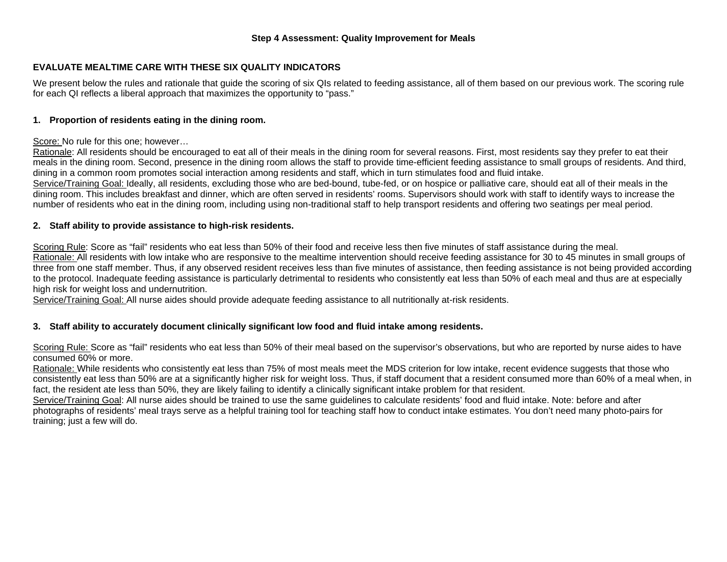## **Step 4 Assessment: Quality Improvement for Meals**

# **EVALUATE MEALTIME CARE WITH THESE SIX QUALITY INDICATORS**

We present below the rules and rationale that quide the scoring of six QIs related to feeding assistance, all of them based on our previous work. The scoring rule for each QI reflects a liberal approach that maximizes the opportunity to "pass."

## **1. Proportion of residents eating in the dining room.**

#### Score: No rule for this one; however…

Rationale: All residents should be encouraged to eat all of their meals in the dining room for several reasons. First, most residents say they prefer to eat their meals in the dining room. Second, presence in the dining room allows the staff to provide time-efficient feeding assistance to small groups of residents. And third, dining in a common room promotes social interaction among residents and staff, which in turn stimulates food and fluid intake.

Service/Training Goal: Ideally, all residents, excluding those who are bed-bound, tube-fed, or on hospice or palliative care, should eat all of their meals in the dining room. This includes breakfast and dinner, which are often served in residents' rooms. Supervisors should work with staff to identify ways to increase the number of residents who eat in the dining room, including using non-traditional staff to help transport residents and offering two seatings per meal period.

## **2. Staff ability to provide assistance to high-risk residents.**

Scoring Rule: Score as "fail" residents who eat less than 50% of their food and receive less then five minutes of staff assistance during the meal. Rationale: All residents with low intake who are responsive to the mealtime intervention should receive feeding assistance for 30 to 45 minutes in small groups of three from one staff member. Thus, if any observed resident receives less than five minutes of assistance, then feeding assistance is not being provided according to the protocol. Inadequate feeding assistance is particularly detrimental to residents who consistently eat less than 50% of each meal and thus are at especially high risk for weight loss and undernutrition.

Service/Training Goal: All nurse aides should provide adequate feeding assistance to all nutritionally at-risk residents.

## **3. Staff ability to accurately document clinically significant low food and fluid intake among residents.**

Scoring Rule: Score as "fail" residents who eat less than 50% of their meal based on the supervisor's observations, but who are reported by nurse aides to have consumed 60% or more.

Rationale: While residents who consistently eat less than 75% of most meals meet the MDS criterion for low intake, recent evidence suggests that those who consistently eat less than 50% are at a significantly higher risk for weight loss. Thus, if staff document that a resident consumed more than 60% of a meal when, in fact, the resident ate less than 50%, they are likely failing to identify a clinically significant intake problem for that resident.

Service/Training Goal: All nurse aides should be trained to use the same guidelines to calculate residents' food and fluid intake. Note: before and after photographs of residents' meal trays serve as a helpful training tool for teaching staff how to conduct intake estimates. You don't need many photo-pairs for training; just a few will do.